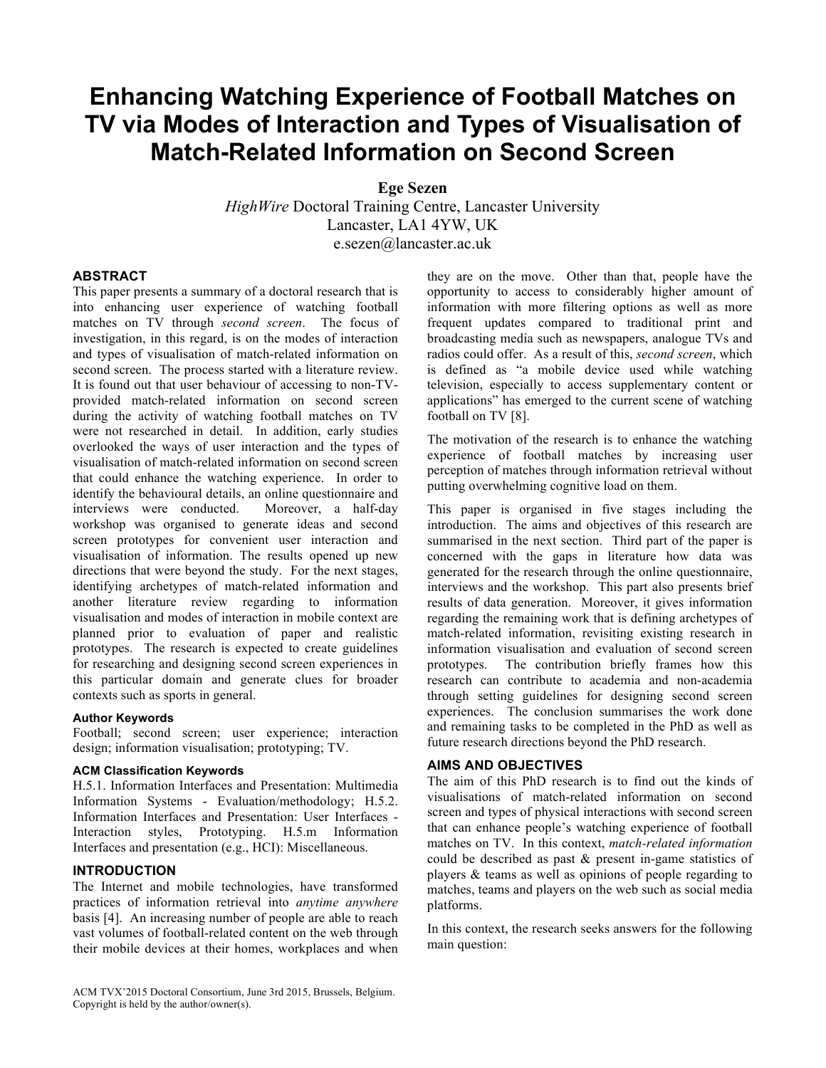# **Enhancing Watching Experience of Football Matches on TV via Modes of Interaction and Types of Visualisation of Match-Related Information on Second Screen**

 **Ege Sezen** 

 Lancaster, LA1 4YW, UK *HighWire* Doctoral Training Centre, Lancaster University e.sezen@lancaster.ac.uk

# **ABSTRACT**

 This paper presents a summary of a doctoral research that is into enhancing user experience of watching football matches on TV through *second screen*. The focus of investigation, in this regard, is on the modes of interaction and types of visualisation of match-related information on second screen. The process started with a literature review. It is found out that user behaviour of accessing to non-TV- during the activity of watching football matches on TV were not researched in detail. In addition, early studies overlooked the ways of user interaction and the types of visualisation of match-related information on second screen that could enhance the watching experience. In order to identify the behavioural details, an online questionnaire and Moreover, a half-day workshop was organised to generate ideas and second screen prototypes for convenient user interaction and visualisation of information. The results opened up new directions that were beyond the study. For the next stages, identifying archetypes of match-related information and another literature review regarding to information visualisation and modes of interaction in mobile context are prototypes. The research is expected to create guidelines for researching and designing second screen experiences in this particular domain and generate clues for broader contexts such as sports in general. provided match-related information on second screen interviews were conducted. planned prior to evaluation of paper and realistic

# **Author Keywords**

 design; information visualisation; prototyping; TV. Football; second screen; user experience; interaction

#### **ACM Classification Keywords**

 H.5.1. Information Interfaces and Presentation: Multimedia Information Systems - Evaluation/methodology; H.5.2. Information Interfaces and Presentation: User Interfaces - Interfaces and presentation (e.g., HCI): Miscellaneous. Interaction styles, Prototyping. H.5.m Information

# **INTRODUCTION**

 The Internet and mobile technologies, have transformed practices of information retrieval into *anytime anywhere*  basis [4]. An increasing number of people are able to reach vast volumes of football-related content on the web through their mobile devices at their homes, workplaces and when

 ACM TVX'2015 Doctoral Consortium, June 3rd 2015, Brussels, Belgium. Copyright is held by the author/owner(s).

 they are on the move. Other than that, people have the opportunity to access to considerably higher amount of information with more filtering options as well as more broadcasting media such as newspapers, analogue TVs and radios could offer. As a result of this, *second screen*, which is defined as "a mobile device used while watching television, especially to access supplementary content or applications" has emerged to the current scene of watching football on TV [8]. frequent updates compared to traditional print and

 The motivation of the research is to enhance the watching experience of football matches by increasing user perception of matches through information retrieval without putting overwhelming cognitive load on them.

 putting overwhelming cognitive load on them. This paper is organised in five stages including the introduction. The aims and objectives of this research are summarised in the next section. Third part of the paper is concerned with the gaps in literature how data was generated for the research through the online questionnaire, interviews and the workshop. This part also presents brief results of data generation. Moreover, it gives information regarding the remaining work that is defining archetypes of match-related information, revisiting existing research in information visualisation and evaluation of second screen prototypes. research can contribute to academia and non-academia through setting guidelines for designing second screen experiences. The conclusion summarises the work done and remaining tasks to be completed in the PhD as well as future research directions beyond the PhD research. The contribution briefly frames how this

# **AIMS AND OBJECTIVES**

 The aim of this PhD research is to find out the kinds of screen and types of physical interactions with second screen that can enhance people's watching experience of football matches on TV. In this context, *match-related information*  could be described as past & present in-game statistics of players & teams as well as opinions of people regarding to matches, teams and players on the web such as social media visualisations of match-related information on second platforms.

 In this context, the research seeks answers for the following main question: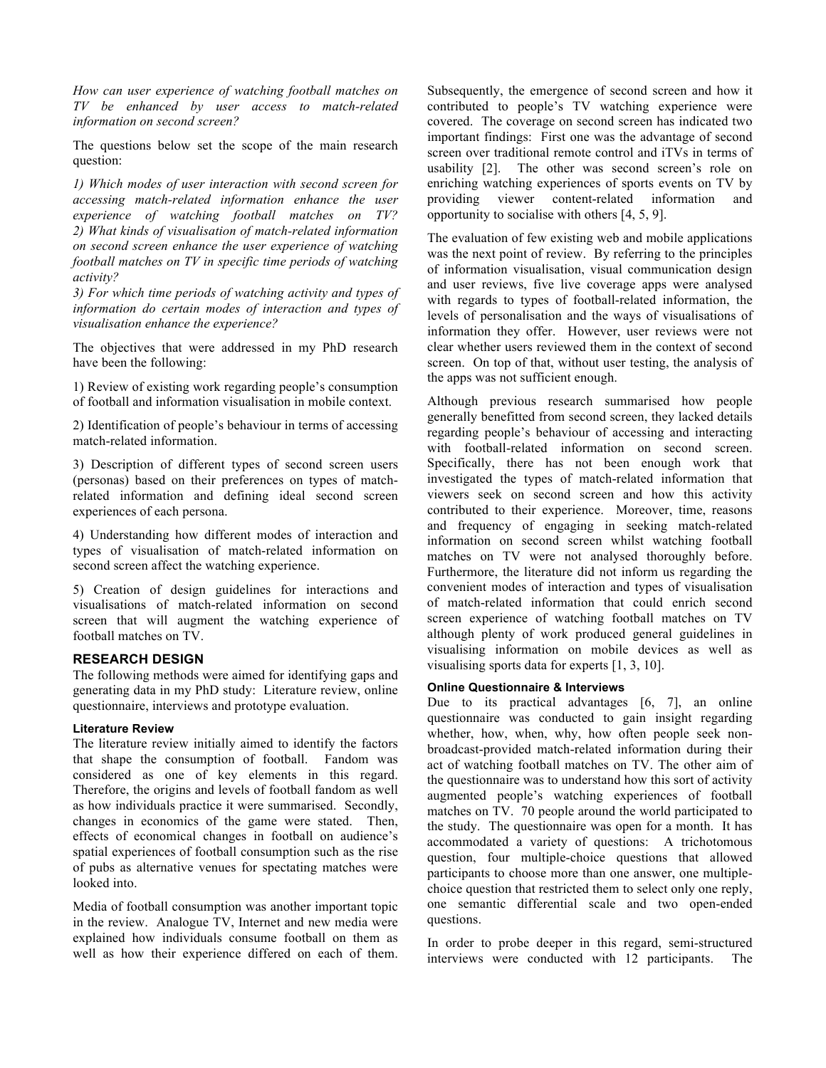*How can user experience of watching football matches on TV be enhanced by user access to match-related information on second screen?* 

 The questions below set the scope of the main research question:

 *1) Which modes of user interaction with second screen for accessing match-related information enhance the user experience of watching football matches on TV? 2) What kinds of visualisation of match-related information on second screen enhance the user experience of watching football matches on TV in specific time periods of watching activity?* 

 *3) For which time periods of watching activity and types of information do certain modes of interaction and types of visualisation enhance the experience?* 

 The objectives that were addressed in my PhD research have been the following:

have been the following:<br>1) Review of existing work regarding people's consumption of football and information visualisation in mobile context.

 2) Identification of people's behaviour in terms of accessing match-related information.

 3) Description of different types of second screen users (personas) based on their preferences on types of match- related information and defining ideal second screen experiences of each persona.

 experiences of each persona. 4) Understanding how different modes of interaction and types of visualisation of match-related information on second screen affect the watching experience.

 5) Creation of design guidelines for interactions and visualisations of match-related information on second screen that will augment the watching experience of football matches on TV.

#### **RESEARCH DESIGN**

 The following methods were aimed for identifying gaps and generating data in my PhD study: Literature review, online questionnaire, interviews and prototype evaluation.

#### **Literature Review**

 The literature review initially aimed to identify the factors that shape the consumption of football. Fandom was considered as one of key elements in this regard. Therefore, the origins and levels of football fandom as well as how individuals practice it were summarised. Secondly, changes in economics of the game were stated. Then, effects of economical changes in football on audience's spatial experiences of football consumption such as the rise of pubs as alternative venues for spectating matches were looked into. looked into.<br>Media of football consumption was another important topic

 in the review. Analogue TV, Internet and new media were explained how individuals consume football on them as well as how their experience differed on each of them.  Subsequently, the emergence of second screen and how it contributed to people's TV watching experience were covered. The coverage on second screen has indicated two important findings: First one was the advantage of second screen over traditional remote control and iTVs in terms of usability [2]. The other was second screen's role on enriching watching experiences of sports events on TV by providing viewer content-related information and opportunity to socialise with others [4, 5, 9].

 The evaluation of few existing web and mobile applications was the next point of review. By referring to the principles of information visualisation, visual communication design and user reviews, five live coverage apps were analysed with regards to types of football-related information, the levels of personalisation and the ways of visualisations of information they offer. However, user reviews were not clear whether users reviewed them in the context of second screen. On top of that, without user testing, the analysis of the apps was not sufficient enough.

 Although previous research summarised how people regarding people's behaviour of accessing and interacting with football-related information on second screen. Specifically, there has not been enough work that investigated the types of match-related information that viewers seek on second screen and how this activity contributed to their experience. Moreover, time, reasons and frequency of engaging in seeking match-related information on second screen whilst watching football matches on TV were not analysed thoroughly before. Furthermore, the literature did not inform us regarding the convenient modes of interaction and types of visualisation of match-related information that could enrich second screen experience of watching football matches on TV visualising information on mobile devices as well as visualising sports data for experts [1, 3, 10]. generally benefitted from second screen, they lacked details although plenty of work produced general guidelines in

#### **Online Questionnaire & Interviews**

 Due to its practical advantages [6, 7], an online questionnaire was conducted to gain insight regarding whether, how, when, why, how often people seek non- act of watching football matches on TV. The other aim of the questionnaire was to understand how this sort of activity augmented people's watching experiences of football matches on TV. 70 people around the world participated to the study. The questionnaire was open for a month. It has accommodated a variety of questions: A trichotomous question, four multiple-choice questions that allowed participants to choose more than one answer, one multiple- choice question that restricted them to select only one reply, broadcast-provided match-related information during their one semantic differential scale and two open-ended questions.

 In order to probe deeper in this regard, semi-structured interviews were conducted with 12 participants. The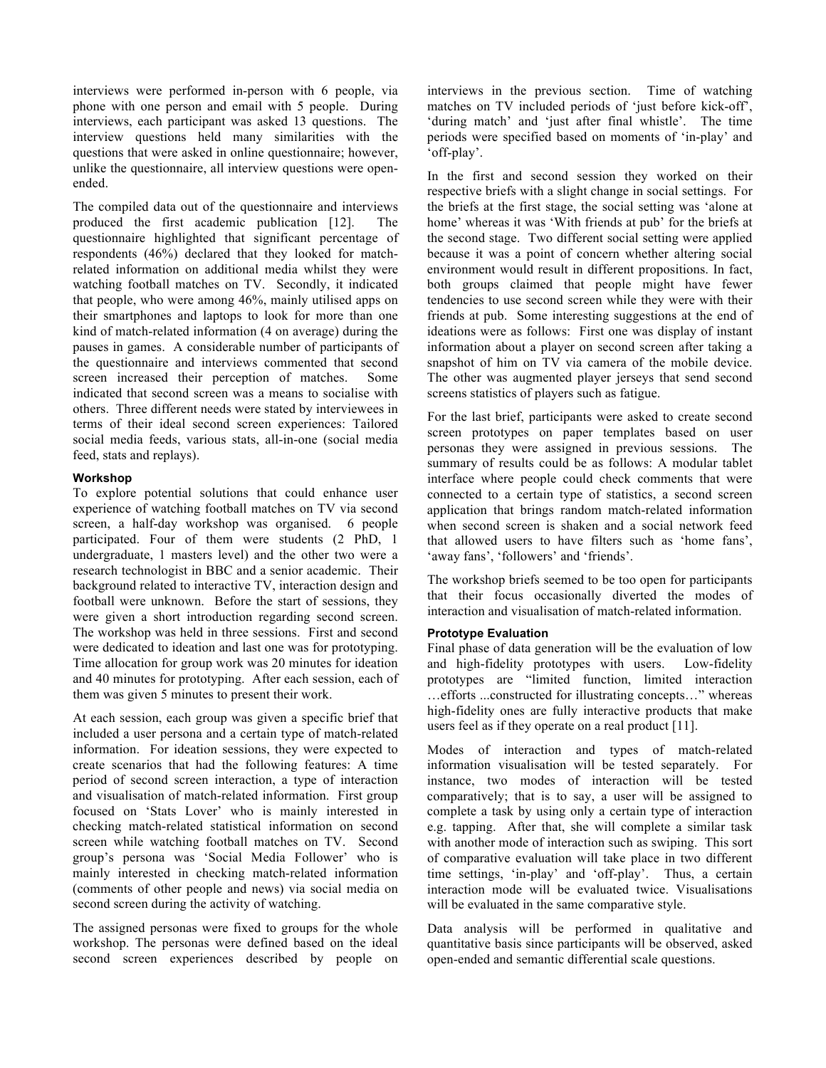interviews were performed in-person with 6 people, via phone with one person and email with 5 people. During interviews, each participant was asked 13 questions. The interview questions held many similarities with the questions that were asked in online questionnaire; however, unlike the questionnaire, all interview questions were openended.

 ended. The compiled data out of the questionnaire and interviews produced the first academic publication [12]. The respondents (46%) declared that they looked for match- related information on additional media whilst they were watching football matches on TV. Secondly, it indicated that people, who were among 46%, mainly utilised apps on their smartphones and laptops to look for more than one kind of match-related information (4 on average) during the pauses in games. A considerable number of participants of screen increased their perception of matches. Some indicated that second screen was a means to socialise with others. Three different needs were stated by interviewees in terms of their ideal second screen experiences: Tailored social media feeds, various stats, all-in-one (social media feed, stats and replays). questionnaire highlighted that significant percentage of the questionnaire and interviews commented that second

#### **Workshop**

 To explore potential solutions that could enhance user experience of watching football matches on TV via second screen, a half-day workshop was organised. 6 people participated. Four of them were students (2 PhD, 1 undergraduate, 1 masters level) and the other two were a research technologist in BBC and a senior academic. Their background related to interactive TV, interaction design and football were unknown. Before the start of sessions, they were given a short introduction regarding second screen. The workshop was held in three sessions. First and second were dedicated to ideation and last one was for prototyping. Time allocation for group work was 20 minutes for ideation and 40 minutes for prototyping. After each session, each of them was given 5 minutes to present their work.

 them was given 5 minutes to present their work. At each session, each group was given a specific brief that included a user persona and a certain type of match-related information. For ideation sessions, they were expected to create scenarios that had the following features: A time period of second screen interaction, a type of interaction and visualisation of match-related information. First group focused on 'Stats Lover' who is mainly interested in checking match-related statistical information on second screen while watching football matches on TV. Second group's persona was 'Social Media Follower' who is mainly interested in checking match-related information (comments of other people and news) via social media on second screen during the activity of watching.

 The assigned personas were fixed to groups for the whole workshop. The personas were defined based on the ideal second screen experiences described by people on  interviews in the previous section. Time of watching matches on TV included periods of 'just before kick-off', 'during match' and 'just after final whistle'. The time periods were specified based on moments of 'in-play' and 'off-play'.

 In the first and second session they worked on their respective briefs with a slight change in social settings. For the briefs at the first stage, the social setting was 'alone at home' whereas it was 'With friends at pub' for the briefs at the second stage. Two different social setting were applied because it was a point of concern whether altering social environment would result in different propositions. In fact, both groups claimed that people might have fewer tendencies to use second screen while they were with their friends at pub. Some interesting suggestions at the end of ideations were as follows: First one was display of instant information about a player on second screen after taking a snapshot of him on TV via camera of the mobile device. The other was augmented player jerseys that send second screens statistics of players such as fatigue.

 For the last brief, participants were asked to create second personas they were assigned in previous sessions. The summary of results could be as follows: A modular tablet interface where people could check comments that were connected to a certain type of statistics, a second screen application that brings random match-related information when second screen is shaken and a social network feed that allowed users to have filters such as 'home fans', 'away fans', 'followers' and 'friends'. screen prototypes on paper templates based on user

 The workshop briefs seemed to be too open for participants that their focus occasionally diverted the modes of interaction and visualisation of match-related information.

#### **Prototype Evaluation**

 Final phase of data generation will be the evaluation of low and high-fidelity prototypes with users. Low-fidelity prototypes are "limited function, limited interaction …efforts ...constructed for illustrating concepts…" whereas high-fidelity ones are fully interactive products that make users feel as if they operate on a real product [11].

 Modes of interaction and types of match-related information visualisation will be tested separately. For instance, two modes of interaction will be tested comparatively; that is to say, a user will be assigned to complete a task by using only a certain type of interaction e.g. tapping. After that, she will complete a similar task with another mode of interaction such as swiping. This sort of comparative evaluation will take place in two different time settings, 'in-play' and 'off-play'. Thus, a certain interaction mode will be evaluated twice. Visualisations will be evaluated in the same comparative style.

 Data analysis will be performed in qualitative and quantitative basis since participants will be observed, asked open-ended and semantic differential scale questions.